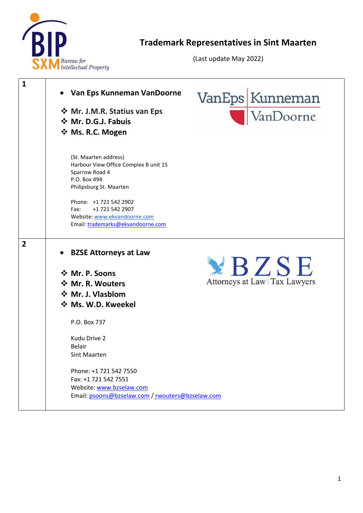

## **Trademark Representatives in Sint Maarten**

(Last update May 2022)

| $\mathbf{1}$   | Van Eps Kunneman VanDoorne<br>❖ Mr. J.M.R. Statius van Eps<br>❖ Mr. D.G.J. Fabuis<br>☆ Ms. R.C. Mogen                                                                                                                                                 | VanEps Kunneman<br>VanDoorne   |
|----------------|-------------------------------------------------------------------------------------------------------------------------------------------------------------------------------------------------------------------------------------------------------|--------------------------------|
|                | (St. Maarten address)<br>Harbour View Office Complex B unit 15<br>Sparrow Road 4<br>P.O. Box 494<br>Philipsburg St. Maarten<br>Phone: +1 721 542 2902<br>+1 721 542 2907<br>Fax:<br>Website: www.ekvandoorne.com<br>Email: trademarks@ekvandoorne.com |                                |
| $\overline{2}$ | <b>BZSE Attorneys at Law</b>                                                                                                                                                                                                                          |                                |
|                | ☆ Mr. P. Soons                                                                                                                                                                                                                                        | YBZSE                          |
|                | ❖ Mr. R. Wouters                                                                                                                                                                                                                                      | Attorneys at Law   Tax Lawyers |
|                | ❖ Mr. J. Vlasblom                                                                                                                                                                                                                                     |                                |
|                | ❖ Ms. W.D. Kweekel                                                                                                                                                                                                                                    |                                |
|                | P.O. Box 737                                                                                                                                                                                                                                          |                                |
|                | Kudu Drive 2<br><b>Belair</b><br>Sint Maarten                                                                                                                                                                                                         |                                |
|                | Phone: +1 721 542 7550<br>Fax: +1 721 542 7551<br>Website: www.bzselaw.com<br>Email: psoons@bzselaw.com / rwouters@bzselaw.com                                                                                                                        |                                |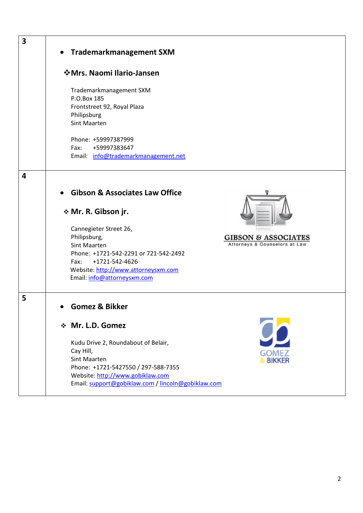| 3 | • Trademarkmanagement SXM                                                                                                                                                                                                                                                                                                                     |
|---|-----------------------------------------------------------------------------------------------------------------------------------------------------------------------------------------------------------------------------------------------------------------------------------------------------------------------------------------------|
|   | ❖ Mrs. Naomi Ilario-Jansen                                                                                                                                                                                                                                                                                                                    |
|   | Trademarkmanagement SXM<br>P.O.Box 185<br>Frontstreet 92, Royal Plaza<br>Philipsburg<br><b>Sint Maarten</b>                                                                                                                                                                                                                                   |
|   | Phone: +59997387999<br>Fax:<br>+59997383647<br>Email: info@trademarkmanagement.net                                                                                                                                                                                                                                                            |
| 4 |                                                                                                                                                                                                                                                                                                                                               |
|   | <b>Gibson &amp; Associates Law Office</b><br>* Mr. R. Gibson jr.<br>Cannegieter Street 26,<br>Philipsburg,<br><b>GIBSON &amp; ASSOCIATES</b><br>Attorneys & Counselors at Law<br><b>Sint Maarten</b><br>Phone: +1721-542-2291 or 721-542-2492<br>Fax:<br>+1721-542-4626<br>Website: http://www.attorneysxm.com<br>Email: info@attorneysxm.com |
| 5 | Gomez & Bikker                                                                                                                                                                                                                                                                                                                                |
|   | ❖ Mr. L.D. Gomez<br>Kudu Drive 2, Roundabout of Belair,<br>Cay Hill,<br>GOMEZ<br><b>Sint Maarten</b><br><b>BIKKER</b><br>Phone: +1721-5427550 / 297-588-7355<br>Website: http://www.gobiklaw.com<br>Email: support@gobiklaw.com / lincoln@gobiklaw.com                                                                                        |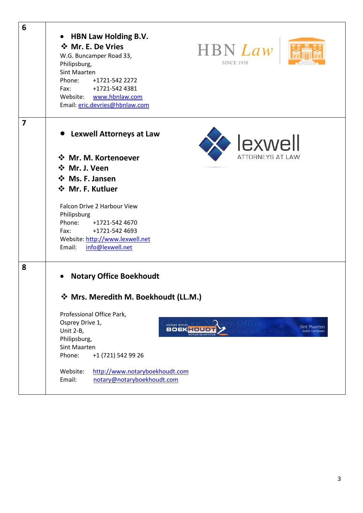| 6                       |                                                               |                         |
|-------------------------|---------------------------------------------------------------|-------------------------|
|                         | <b>HBN Law Holding B.V.</b>                                   |                         |
|                         | ☆ Mr. E. De Vries                                             |                         |
|                         | HBN Law<br>W.G. Buncamper Road 33,                            |                         |
|                         | <b>SINCE 1938</b><br>Philipsburg,                             |                         |
|                         | Sint Maarten                                                  |                         |
|                         | Phone: +1721-542 2272                                         |                         |
|                         | Fax:<br>+1721-542 4381                                        |                         |
|                         | Website: www.hbnlaw.com                                       |                         |
|                         | Email: eric.devries@hbnlaw.com                                |                         |
| $\overline{\mathbf{z}}$ |                                                               |                         |
|                         | • Lexwell Attorneys at Law                                    |                         |
|                         |                                                               | lexwell                 |
|                         | ☆ Mr. M. Kortenoever                                          | <b>ATTORNEYS AT LAW</b> |
|                         | ❖ Mr. J. Veen                                                 |                         |
|                         | ❖ Ms. F. Jansen                                               |                         |
|                         | ❖ Mr. F. Kutluer                                              |                         |
|                         |                                                               |                         |
|                         | Falcon Drive 2 Harbour View                                   |                         |
|                         | Philipsburg                                                   |                         |
|                         | Phone:<br>+1721-542 4670                                      |                         |
|                         | +1721-542 4693<br>Fax:                                        |                         |
|                         | Website: http://www.lexwell.net<br>info@lexwell.net<br>Email: |                         |
|                         |                                                               |                         |
| 8                       |                                                               |                         |
|                         | <b>Notary Office Boekhoudt</b><br>$\bullet$                   |                         |
|                         |                                                               |                         |
|                         | ☆ Mrs. Meredith M. Boekhoudt (LL.M.)                          |                         |
|                         | Professional Office Park,                                     |                         |
|                         | Osprey Drive 1,<br>NOTARY OFFICE                              | <b>Sint Maarten</b>     |
|                         | <b>BOEKHOUD</b><br>Unit 2-B,<br>NOTARISKANTO                  | Dutch Caribbean         |
|                         | Philipsburg,                                                  |                         |
|                         | Sint Maarten                                                  |                         |
|                         | Phone:<br>+1 (721) 542 99 26                                  |                         |
|                         | http://www.notaryboekhoudt.com<br>Website:                    |                         |
|                         | Email:<br>notary@notaryboekhoudt.com                          |                         |
|                         |                                                               |                         |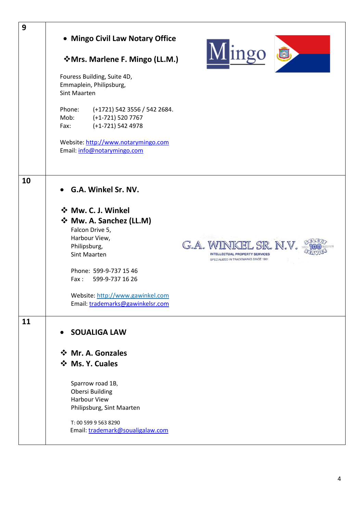| 9  | • Mingo Civil Law Notary Office<br>Mingo &<br>VMrs. Marlene F. Mingo (LL.M.)<br>Fouress Building, Suite 4D,<br>Emmaplein, Philipsburg,<br><b>Sint Maarten</b><br>Phone:<br>(+1721) 542 3556 / 542 2684.<br>Mob:<br>(+1-721) 520 7767<br>(+1-721) 542 4978<br>Fax:<br>Website: http://www.notarymingo.com<br>Email: info@notarymingo.com                                     |
|----|-----------------------------------------------------------------------------------------------------------------------------------------------------------------------------------------------------------------------------------------------------------------------------------------------------------------------------------------------------------------------------|
| 10 | G.A. Winkel Sr. NV.<br>☆ Mw. C. J. Winkel<br>❖ Mw. A. Sanchez (LL.M)<br>Falcon Drive 5,<br>Harbour View,<br>G.A. WINKEL SR. N.V.<br>Philipsburg,<br>Sint Maarten<br><b>INTELLECTUAL PROPERTY SERVICES</b><br>SPECIALIZED IN TRADEMARKS SINCE 1901<br>Phone: 599-9-737 15 46<br>Fax: 599-9-737 16 26<br>Website: http://www.gawinkel.com<br>Email: trademarks@gawinkelsr.com |
| 11 | <b>SOUALIGA LAW</b><br>$\bullet$<br>❖ Mr. A. Gonzales<br>❖ Ms. Y. Cuales<br>Sparrow road 1B,<br><b>Obersi Building</b><br><b>Harbour View</b><br>Philipsburg, Sint Maarten<br>T: 00 599 9 563 8290<br>Email: trademark@soualigalaw.com                                                                                                                                      |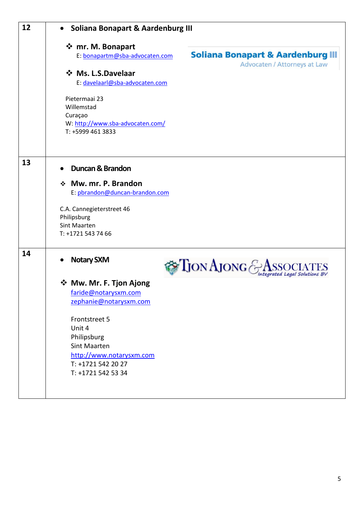| 12 | • Soliana Bonapart & Aardenburg III                                                                                                                                                                                                                                                    |
|----|----------------------------------------------------------------------------------------------------------------------------------------------------------------------------------------------------------------------------------------------------------------------------------------|
|    | ❖ mr. M. Bonapart<br><b>Soliana Bonapart &amp; Aardenburg III</b><br>E: bonapartm@sba-advocaten.com<br>Advocaten / Attorneys at Law<br>❖ Ms. L.S.Davelaar<br>E: davelaarl@sba-advocaten.com                                                                                            |
|    | Pietermaai 23<br>Willemstad<br>Curaçao<br>W: http://www.sba-advocaten.com/<br>T: +5999 461 3833                                                                                                                                                                                        |
| 13 | <b>Duncan &amp; Brandon</b><br>Mw. mr. P. Brandon<br>❖<br>E: pbrandon@duncan-brandon.com<br>C.A. Cannegieterstreet 46<br>Philipsburg<br>Sint Maarten<br>T: +1721 543 74 66                                                                                                             |
| 14 | <b>Notary SXM</b><br><b>Tion Ajong &amp;</b><br>ated Legal Solutions BV<br>❖ Mw. Mr. F. Tjon Ajong<br>faride@notarysxm.com<br>zephanie@notarysxm.com<br>Frontstreet 5<br>Unit 4<br>Philipsburg<br>Sint Maarten<br>http://www.notarysxm.com<br>T: +1721 542 20 27<br>T: +1721 542 53 34 |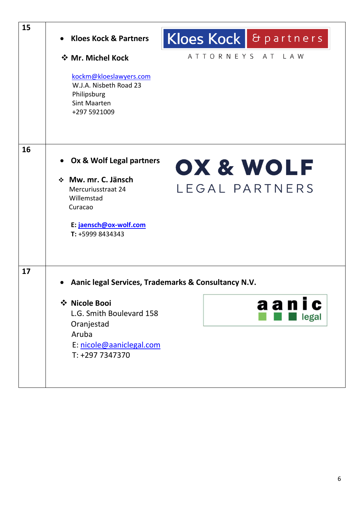| 15 | Kloes Kock & partners<br><b>Kloes Kock &amp; Partners</b>                                              |
|----|--------------------------------------------------------------------------------------------------------|
|    | ATTORNEYS AT LAW<br>❖ Mr. Michel Kock                                                                  |
|    | kockm@kloeslawyers.com<br>W.J.A. Nisbeth Road 23<br>Philipsburg<br><b>Sint Maarten</b><br>+297 5921009 |
|    |                                                                                                        |
| 16 | Ox & Wolf Legal partners<br>OX & WOLF                                                                  |
|    | ❖ Mw. mr. C. Jänsch                                                                                    |
|    | LEGAL PARTNERS<br>Mercuriusstraat 24                                                                   |
|    | Willemstad<br>Curacao                                                                                  |
|    |                                                                                                        |
|    | E: jaensch@ox-wolf.com<br>T: +5999 8434343                                                             |
|    |                                                                                                        |
| 17 | Aanic legal Services, Trademarks & Consultancy N.V.                                                    |
|    | ❖ Nicole Booi<br>aan<br>I C                                                                            |
|    | L.G. Smith Boulevard 158<br>legal                                                                      |
|    | Oranjestad<br>Aruba                                                                                    |
|    | E: nicole@aaniclegal.com                                                                               |
|    | T: +297 7347370                                                                                        |
|    |                                                                                                        |
|    |                                                                                                        |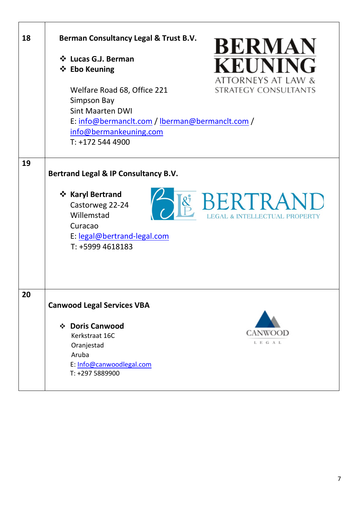| 18 | Berman Consultancy Legal & Trust B.V.<br><b>BERMAN</b><br>❖ Lucas G.J. Berman<br><b>KEUNING</b><br>❖ Ebo Keuning<br>ATTORNEYS AT LAW &<br><b>STRATEGY CONSULTANTS</b><br>Welfare Road 68, Office 221<br>Simpson Bay<br><b>Sint Maarten DWI</b><br>E: info@bermanclt.com / lberman@bermanclt.com / |
|----|---------------------------------------------------------------------------------------------------------------------------------------------------------------------------------------------------------------------------------------------------------------------------------------------------|
|    | info@bermankeuning.com<br>$T: +1725444900$                                                                                                                                                                                                                                                        |
| 19 | Bertrand Legal & IP Consultancy B.V.<br>❖ Karyl Bertrand<br>BERTRAND<br>Castorweg 22-24<br>Willemstad<br><b>EGAL &amp; INTELLECTUAL PROPERTY</b><br>Curacao<br>E: legal@bertrand-legal.com<br>T: +5999 4618183                                                                                    |
| 20 | <b>Canwood Legal Services VBA</b>                                                                                                                                                                                                                                                                 |
|    | ❖ Doris Canwood<br>CANWOOD<br>Kerkstraat 16C<br>L E G A L<br>Oranjestad<br>Aruba<br>E: Info@canwoodlegal.com<br>T: +297 5889900                                                                                                                                                                   |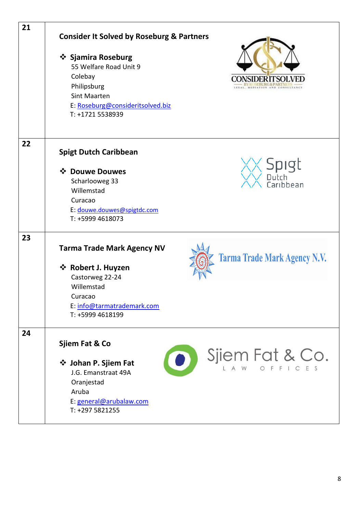| 21 | <b>Consider It Solved by Roseburg &amp; Partners</b>                                                                                                                           |
|----|--------------------------------------------------------------------------------------------------------------------------------------------------------------------------------|
|    | ❖ Sjamira Roseburg<br>55 Welfare Road Unit 9<br>Colebay<br>Philipsburg<br>MEDIATION AND CONSULT<br><b>Sint Maarten</b><br>E: Roseburg@consideritsolved.biz<br>T: +1721 5538939 |
| 22 | <b>Spigt Dutch Caribbean</b>                                                                                                                                                   |
|    | <b>Spigt</b><br>❖ Douwe Douwes                                                                                                                                                 |
|    | Scharlooweg 33<br>Caribbean<br>Willemstad                                                                                                                                      |
|    | Curacao                                                                                                                                                                        |
|    | E: douwe.douwes@spigtdc.com                                                                                                                                                    |
|    | T: +5999 4618073                                                                                                                                                               |
| 23 |                                                                                                                                                                                |
|    | <b>Tarma Trade Mark Agency NV</b>                                                                                                                                              |
|    | <b>Tarma Trade Mark Agency N.V.</b><br>❖ Robert J. Huyzen                                                                                                                      |
|    | Castorweg 22-24                                                                                                                                                                |
|    | Willemstad                                                                                                                                                                     |
|    | Curacao                                                                                                                                                                        |
|    | E: info@tarmatrademark.com<br>T: +5999 4618199                                                                                                                                 |
| 24 |                                                                                                                                                                                |
|    | Sjiem Fat & Co                                                                                                                                                                 |
|    | Sjiem Fat & Co.<br>$\bullet$<br>❖ Johan P. Sjiem Fat<br>J.G. Emanstraat 49A<br>Oranjestad<br>Aruba<br>E: general@arubalaw.com<br>T: +297 5821255                               |